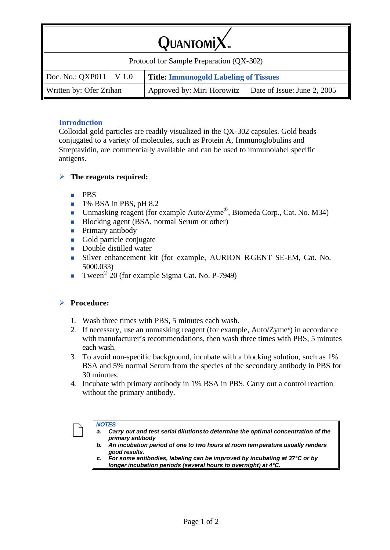| Protocol for Sample Preparation (QX-302)                    |  |                                              |                             |  |  |
|-------------------------------------------------------------|--|----------------------------------------------|-----------------------------|--|--|
| $\text{Doc. No.: } \text{QXP011} \mid \text{V} \text{ 1.0}$ |  | <b>Title: Immunogold Labeling of Tissues</b> |                             |  |  |
| Written by: Ofer Zrihan                                     |  | Approved by: Miri Horowitz                   | Date of Issue: June 2, 2005 |  |  |

## **Introduction**

Colloidal gold particles are readily visualized in the QX-302 capsules. Gold beads conjugated to a variety of molecules, such as Protein A, Immunoglobulins and Streptavidin, are commercially available and can be used to immunolabel specific antigens.

#### ÿ **The reagents required:**

- n PBS
- $\blacksquare$  1% BSA in PBS, pH 8.2
- **IDED** Unmasking reagent (for example Auto/Zyme<sup>®</sup>, Biomeda Corp., Cat. No. M34)
- Blocking agent (BSA, normal Serum or other)
- $\blacksquare$  Primary antibody
- Gold particle conjugate
- **n** Double distilled water
- <sup>n</sup> Silver enhancement kit (for example, AURION R-GENT SE-EM, Cat. No. 5000.033)
- **Tween**<sup>®</sup> 20 (for example Sigma Cat. No. P-7949)

## ÿ **Procedure:**

- 1. Wash three times with PBS, 5 minutes each wash.
- 2. If necessary, use an unmasking reagent (for example, Auto/Zyme® ) in accordance with manufacturer's recommendations, then wash three times with PBS, 5 minutes each wash.
- 3. To avoid non-specific background, incubate with a blocking solution, such as 1% BSA and 5% normal Serum from the species of the secondary antibody in PBS for 30 minutes.
- 4. Incubate with primary antibody in 1% BSA in PBS. Carry out a control reaction without the primary antibody.



#### *NOTES*

- *a. Carry out and test serial dilutions to determine the optimal concentration of the primary antibody*
- *b. An incubation period of one to two hours at room tem perature usually renders good results.*
- *c. For some antibodies, labeling can be improved by incubating at 37°C or by longer incubation periods (several hours to overnight) at 4°C.*